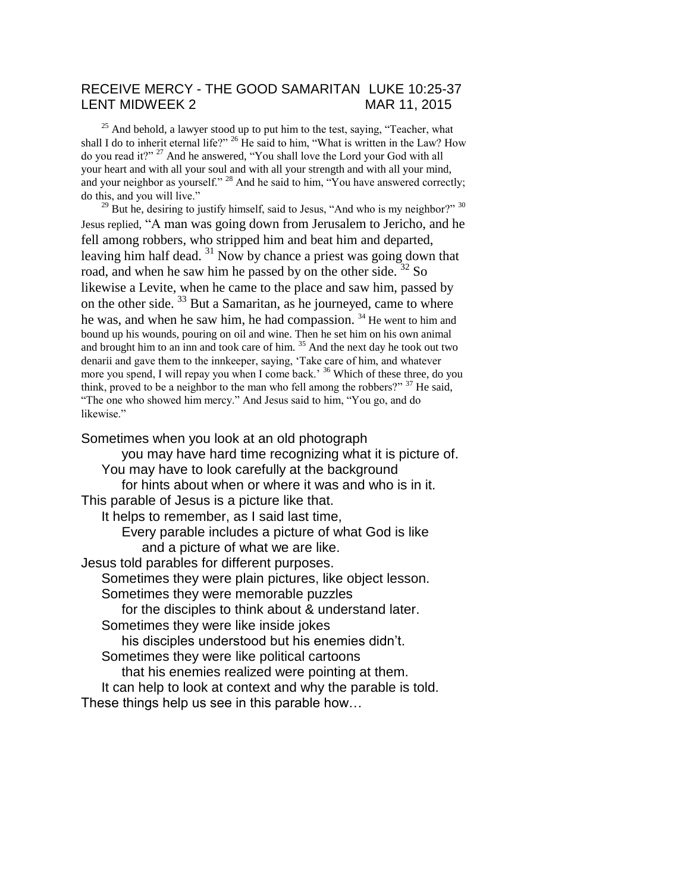## RECEIVE MERCY - THE GOOD SAMARITAN LUKE 10:25-37 LENT MIDWEEK 2 MAR 11, 2015

 $25$  And behold, a lawyer stood up to put him to the test, saying, "Teacher, what shall I do to inherit eternal life?" <sup>26</sup> He said to him, "What is written in the Law? How do you read it?" <sup>27</sup> And he answered, "You shall love the Lord your God with all your heart and with all your soul and with all your strength and with all your mind, and your neighbor as yourself." <sup>28</sup> And he said to him, "You have answered correctly; do this, and you will live."

 $29$  But he, desiring to justify himself, said to Jesus, "And who is my neighbor?"  $30$ Jesus replied, "A man was going down from Jerusalem to Jericho, and he fell among robbers, who stripped him and beat him and departed, leaving him half dead. <sup>31</sup> Now by chance a priest was going down that road, and when he saw him he passed by on the other side.  $32$  So likewise a Levite, when he came to the place and saw him, passed by on the other side. <sup>33</sup> But a Samaritan, as he journeyed, came to where he was, and when he saw him, he had compassion. <sup>34</sup> He went to him and bound up his wounds, pouring on oil and wine. Then he set him on his own animal and brought him to an inn and took care of him.  $35$  And the next day he took out two denarii and gave them to the innkeeper, saying, 'Take care of him, and whatever more you spend, I will repay you when I come back.<sup>36</sup> Which of these three, do you think, proved to be a neighbor to the man who fell among the robbers?" <sup>37</sup> He said. "The one who showed him mercy." And Jesus said to him, "You go, and do likewise."

#### Sometimes when you look at an old photograph

you may have hard time recognizing what it is picture of. You may have to look carefully at the background for hints about when or where it was and who is in it. This parable of Jesus is a picture like that. It helps to remember, as I said last time, Every parable includes a picture of what God is like and a picture of what we are like. Jesus told parables for different purposes. Sometimes they were plain pictures, like object lesson. Sometimes they were memorable puzzles for the disciples to think about & understand later. Sometimes they were like inside jokes his disciples understood but his enemies didn't. Sometimes they were like political cartoons that his enemies realized were pointing at them. It can help to look at context and why the parable is told.

These things help us see in this parable how…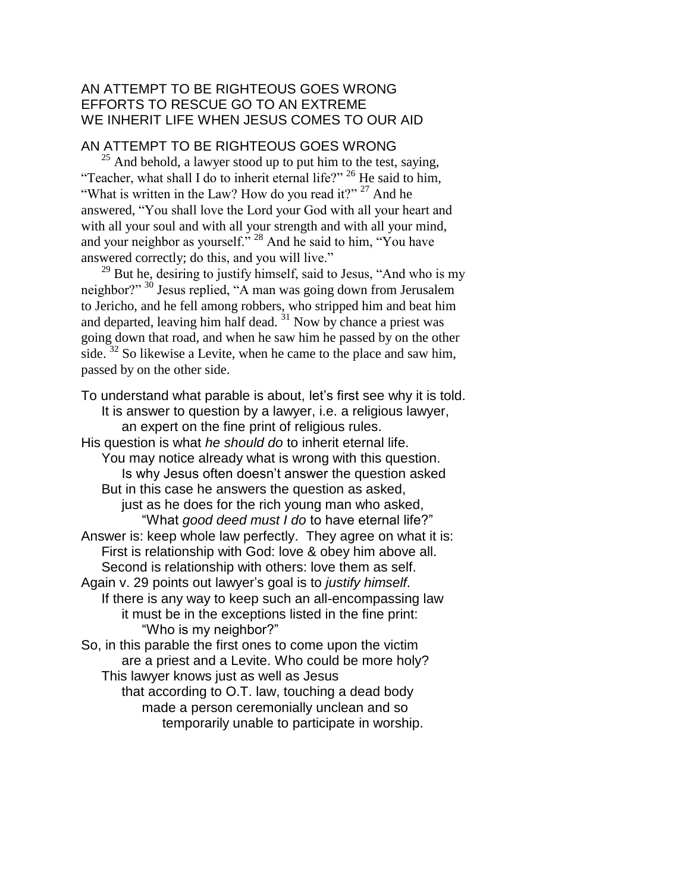### AN ATTEMPT TO BE RIGHTEOUS GOES WRONG EFFORTS TO RESCUE GO TO AN EXTREME WE INHERIT LIFE WHEN JESUS COMES TO OUR AID

# AN ATTEMPT TO BE RIGHTEOUS GOES WRONG

 $^{25}$  And behold, a lawyer stood up to put him to the test, saying, "Teacher, what shall I do to inherit eternal life?" <sup>26</sup> He said to him, "What is written in the Law? How do you read it?"  $27$  And he answered, "You shall love the Lord your God with all your heart and with all your soul and with all your strength and with all your mind, and your neighbor as yourself." <sup>28</sup> And he said to him, "You have answered correctly; do this, and you will live."

 $^{29}$  But he, desiring to justify himself, said to Jesus, "And who is my neighbor?" <sup>30</sup> Jesus replied, "A man was going down from Jerusalem to Jericho, and he fell among robbers, who stripped him and beat him and departed, leaving him half dead.  $31$  Now by chance a priest was going down that road, and when he saw him he passed by on the other side.  $32$  So likewise a Levite, when he came to the place and saw him, passed by on the other side.

To understand what parable is about, let's first see why it is told. It is answer to question by a lawyer, i.e. a religious lawyer, an expert on the fine print of religious rules. His question is what *he should do* to inherit eternal life. You may notice already what is wrong with this question. Is why Jesus often doesn't answer the question asked But in this case he answers the question as asked, just as he does for the rich young man who asked, "What *good deed must I do* to have eternal life?" Answer is: keep whole law perfectly. They agree on what it is: First is relationship with God: love & obey him above all. Second is relationship with others: love them as self. Again v. 29 points out lawyer's goal is to *justify himself*. If there is any way to keep such an all-encompassing law it must be in the exceptions listed in the fine print: "Who is my neighbor?" So, in this parable the first ones to come upon the victim are a priest and a Levite. Who could be more holy? This lawyer knows just as well as Jesus that according to O.T. law, touching a dead body made a person ceremonially unclean and so

temporarily unable to participate in worship.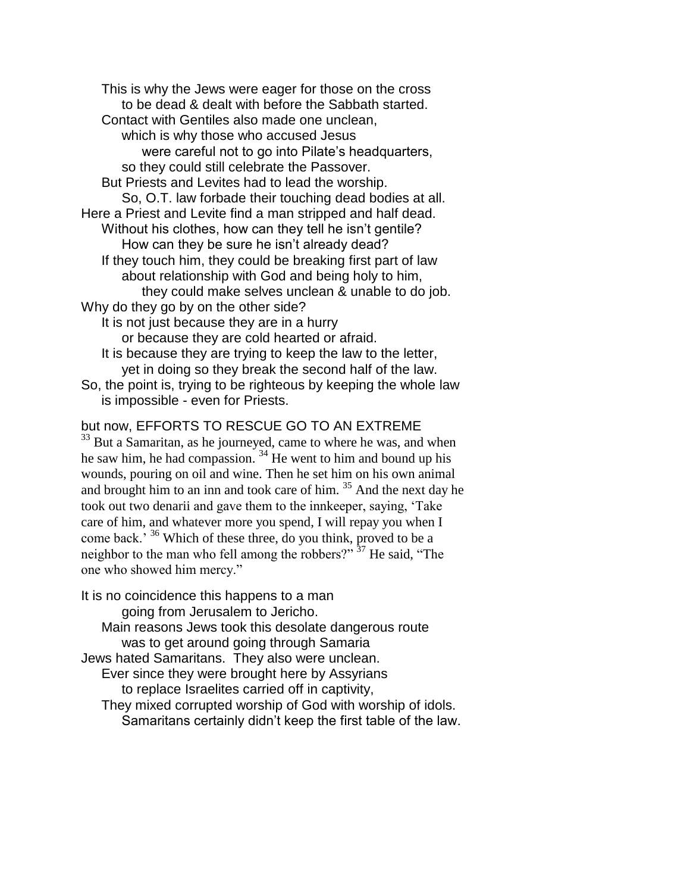This is why the Jews were eager for those on the cross to be dead & dealt with before the Sabbath started. Contact with Gentiles also made one unclean, which is why those who accused Jesus were careful not to go into Pilate's headquarters, so they could still celebrate the Passover. But Priests and Levites had to lead the worship. So, O.T. law forbade their touching dead bodies at all. Here a Priest and Levite find a man stripped and half dead. Without his clothes, how can they tell he isn't gentile? How can they be sure he isn't already dead? If they touch him, they could be breaking first part of law about relationship with God and being holy to him, they could make selves unclean & unable to do job. Why do they go by on the other side? It is not just because they are in a hurry or because they are cold hearted or afraid. It is because they are trying to keep the law to the letter,

yet in doing so they break the second half of the law. So, the point is, trying to be righteous by keeping the whole law is impossible - even for Priests.

### but now, EFFORTS TO RESCUE GO TO AN EXTREME

<sup>33</sup> But a Samaritan, as he journeyed, came to where he was, and when he saw him, he had compassion.  $34$  He went to him and bound up his wounds, pouring on oil and wine. Then he set him on his own animal and brought him to an inn and took care of him. <sup>35</sup> And the next day he took out two denarii and gave them to the innkeeper, saying, 'Take care of him, and whatever more you spend, I will repay you when I come back.' <sup>36</sup> Which of these three, do you think, proved to be a neighbor to the man who fell among the robbers?"  $37$  He said, "The one who showed him mercy."

It is no coincidence this happens to a man going from Jerusalem to Jericho. Main reasons Jews took this desolate dangerous route was to get around going through Samaria Jews hated Samaritans. They also were unclean. Ever since they were brought here by Assyrians to replace Israelites carried off in captivity, They mixed corrupted worship of God with worship of idols. Samaritans certainly didn't keep the first table of the law.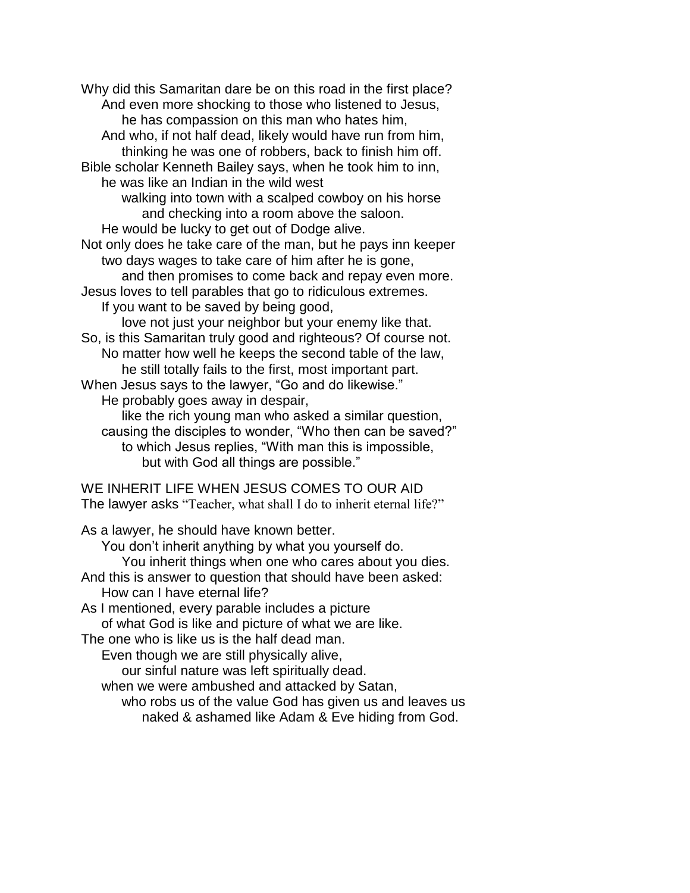Why did this Samaritan dare be on this road in the first place? And even more shocking to those who listened to Jesus, he has compassion on this man who hates him, And who, if not half dead, likely would have run from him, thinking he was one of robbers, back to finish him off. Bible scholar Kenneth Bailey says, when he took him to inn, he was like an Indian in the wild west walking into town with a scalped cowboy on his horse and checking into a room above the saloon. He would be lucky to get out of Dodge alive. Not only does he take care of the man, but he pays inn keeper two days wages to take care of him after he is gone, and then promises to come back and repay even more. Jesus loves to tell parables that go to ridiculous extremes. If you want to be saved by being good, love not just your neighbor but your enemy like that. So, is this Samaritan truly good and righteous? Of course not. No matter how well he keeps the second table of the law, he still totally fails to the first, most important part. When Jesus says to the lawyer, "Go and do likewise." He probably goes away in despair, like the rich young man who asked a similar question, causing the disciples to wonder, "Who then can be saved?" to which Jesus replies, "With man this is impossible, but with God all things are possible." WE INHERIT LIFE WHEN JESUS COMES TO OUR AID The lawyer asks "Teacher, what shall I do to inherit eternal life?" As a lawyer, he should have known better. You don't inherit anything by what you yourself do. You inherit things when one who cares about you dies. And this is answer to question that should have been asked: How can I have eternal life? As I mentioned, every parable includes a picture of what God is like and picture of what we are like. The one who is like us is the half dead man. Even though we are still physically alive, our sinful nature was left spiritually dead. when we were ambushed and attacked by Satan, who robs us of the value God has given us and leaves us

naked & ashamed like Adam & Eve hiding from God.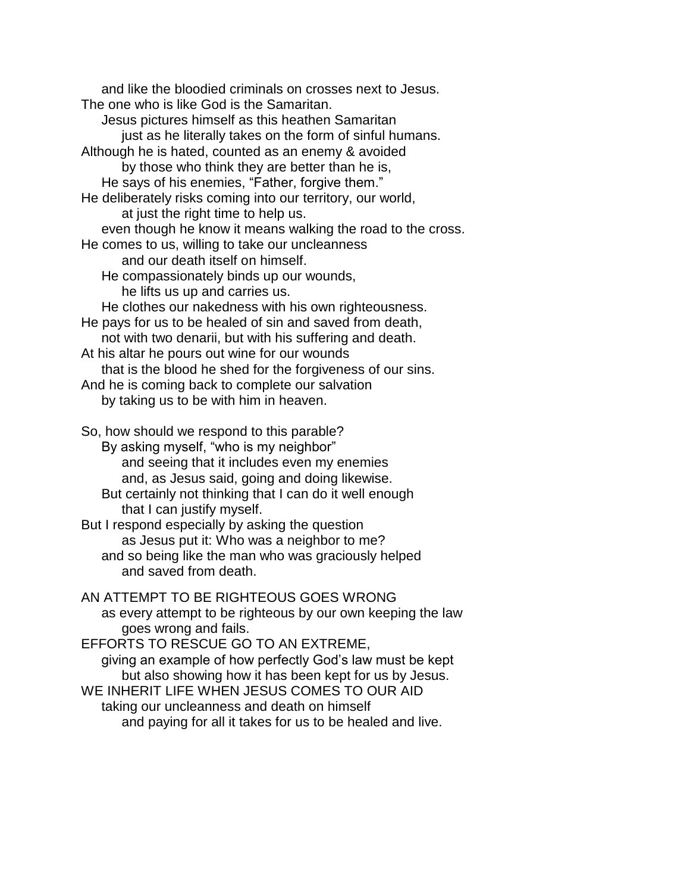and like the bloodied criminals on crosses next to Jesus. The one who is like God is the Samaritan. Jesus pictures himself as this heathen Samaritan just as he literally takes on the form of sinful humans. Although he is hated, counted as an enemy & avoided by those who think they are better than he is, He says of his enemies, "Father, forgive them." He deliberately risks coming into our territory, our world, at just the right time to help us. even though he know it means walking the road to the cross. He comes to us, willing to take our uncleanness and our death itself on himself. He compassionately binds up our wounds, he lifts us up and carries us. He clothes our nakedness with his own righteousness. He pays for us to be healed of sin and saved from death, not with two denarii, but with his suffering and death. At his altar he pours out wine for our wounds that is the blood he shed for the forgiveness of our sins. And he is coming back to complete our salvation by taking us to be with him in heaven. So, how should we respond to this parable? By asking myself, "who is my neighbor" and seeing that it includes even my enemies and, as Jesus said, going and doing likewise. But certainly not thinking that I can do it well enough that I can justify myself. But I respond especially by asking the question as Jesus put it: Who was a neighbor to me? and so being like the man who was graciously helped and saved from death. AN ATTEMPT TO BE RIGHTEOUS GOES WRONG as every attempt to be righteous by our own keeping the law goes wrong and fails. EFFORTS TO RESCUE GO TO AN EXTREME, giving an example of how perfectly God's law must be kept but also showing how it has been kept for us by Jesus. WE INHERIT LIFE WHEN JESUS COMES TO OUR AID taking our uncleanness and death on himself

and paying for all it takes for us to be healed and live.